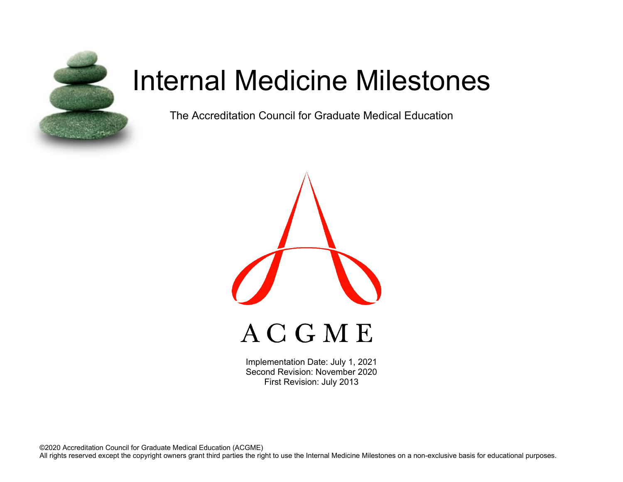

# Internal Medicine Milestones

The Accreditation Council for Graduate Medical Education



Implementation Date: July 1, 2021 Second Revision: November 2020 First Revision: July 2013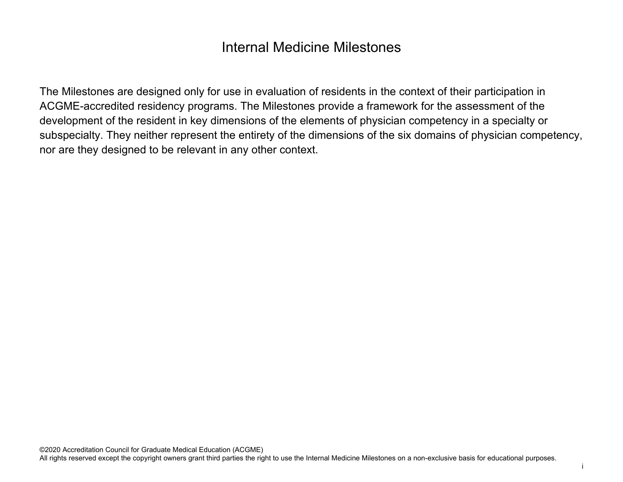# Internal Medicine Milestones

The Milestones are designed only for use in evaluation of residents in the context of their participation in ACGME-accredited residency programs. The Milestones provide a framework for the assessment of the development of the resident in key dimensions of the elements of physician competency in a specialty or subspecialty. They neither represent the entirety of the dimensions of the six domains of physician competency, nor are they designed to be relevant in any other context.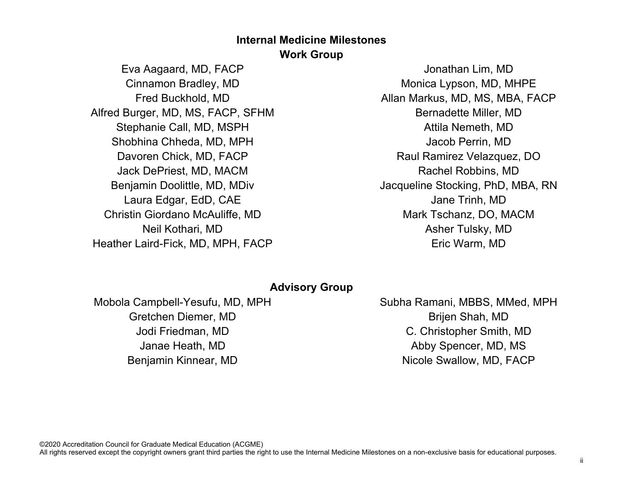# **Internal Medicine Milestones Work Group**

Eva Aagaard, MD, FACP Cinnamon Bradley, MD Fred Buckhold, MD Alfred Burger, MD, MS, FACP, SFHM Stephanie Call, MD, MSPH Shobhina Chheda, MD, MPH Davoren Chick, MD, FACP Jack DePriest, MD, MACM Benjamin Doolittle, MD, MDiv Laura Edgar, EdD, CAE Christin Giordano McAuliffe, MD Neil Kothari, MD Heather Laird-Fick, MD, MPH, FACP

Jonathan Lim, MD Monica Lypson, MD, MHPE Allan Markus, MD, MS, MBA, FACP Bernadette Miller, MD Attila Nemeth, MD Jacob Perrin, MD Raul Ramirez Velazquez, DO Rachel Robbins, MD Jacqueline Stocking, PhD, MBA, RN Jane Trinh, MD Mark Tschanz, DO, MACM Asher Tulsky, MD Eric Warm, MD

## **Advisory Group**

Mobola Campbell-Yesufu, MD, MPH Gretchen Diemer, MD Jodi Friedman, MD Janae Heath, MD Benjamin Kinnear, MD

Subha Ramani, MBBS, MMed, MPH Brijen Shah, MD C. Christopher Smith, MD Abby Spencer, MD, MS Nicole Swallow, MD, FACP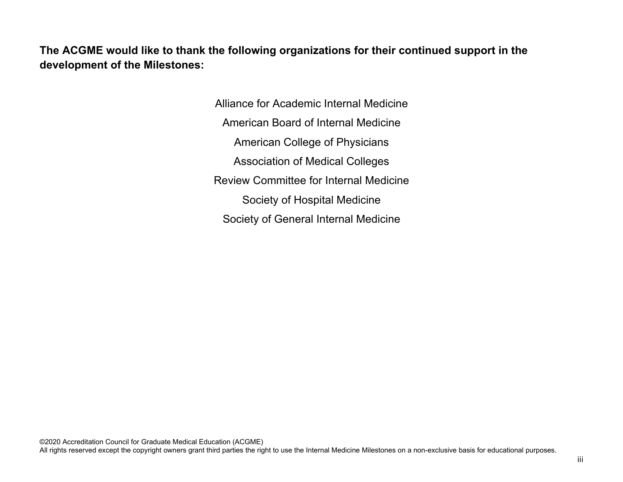**The ACGME would like to thank the following organizations for their continued support in the development of the Milestones:**

> Alliance for Academic Internal Medicine American Board of Internal Medicine American College of Physicians Association of Medical Colleges Review Committee for Internal Medicine Society of Hospital Medicine Society of General Internal Medicine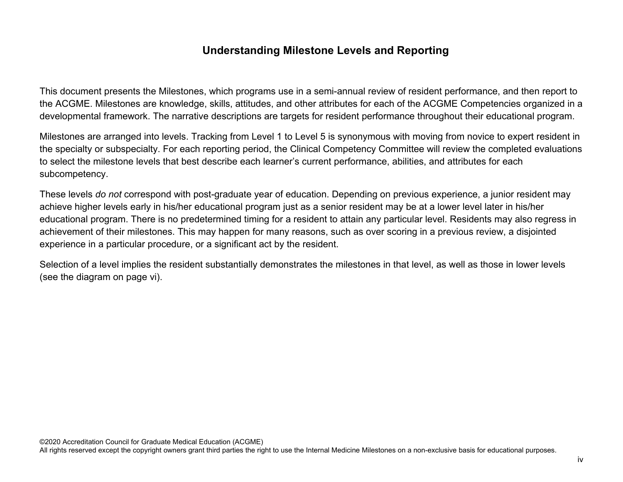## **Understanding Milestone Levels and Reporting**

This document presents the Milestones, which programs use in a semi-annual review of resident performance, and then report to the ACGME. Milestones are knowledge, skills, attitudes, and other attributes for each of the ACGME Competencies organized in a developmental framework. The narrative descriptions are targets for resident performance throughout their educational program.

Milestones are arranged into levels. Tracking from Level 1 to Level 5 is synonymous with moving from novice to expert resident in the specialty or subspecialty. For each reporting period, the Clinical Competency Committee will review the completed evaluations to select the milestone levels that best describe each learner's current performance, abilities, and attributes for each subcompetency.

These levels *do not* correspond with post-graduate year of education. Depending on previous experience, a junior resident may achieve higher levels early in his/her educational program just as a senior resident may be at a lower level later in his/her educational program. There is no predetermined timing for a resident to attain any particular level. Residents may also regress in achievement of their milestones. This may happen for many reasons, such as over scoring in a previous review, a disjointed experience in a particular procedure, or a significant act by the resident.

Selection of a level implies the resident substantially demonstrates the milestones in that level, as well as those in lower levels (see the diagram on page vi).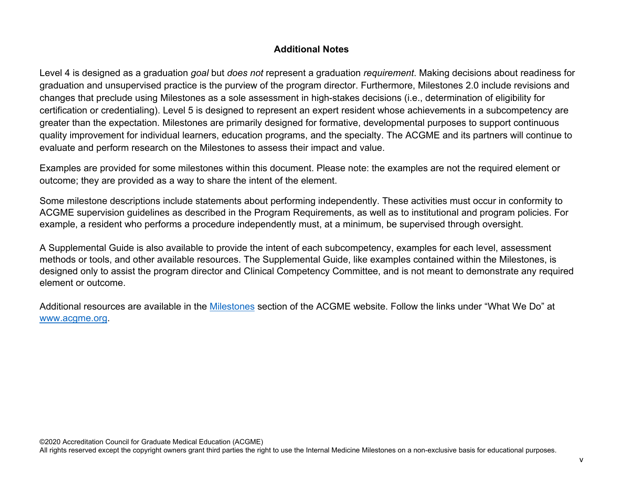## **Additional Notes**

Level 4 is designed as a graduation *goal* but *does not* represent a graduation *requirement*. Making decisions about readiness for graduation and unsupervised practice is the purview of the program director. Furthermore, Milestones 2.0 include revisions and changes that preclude using Milestones as a sole assessment in high-stakes decisions (i.e., determination of eligibility for certification or credentialing). Level 5 is designed to represent an expert resident whose achievements in a subcompetency are greater than the expectation. Milestones are primarily designed for formative, developmental purposes to support continuous quality improvement for individual learners, education programs, and the specialty. The ACGME and its partners will continue to evaluate and perform research on the Milestones to assess their impact and value.

Examples are provided for some milestones within this document. Please note: the examples are not the required element or outcome; they are provided as a way to share the intent of the element.

Some milestone descriptions include statements about performing independently. These activities must occur in conformity to ACGME supervision guidelines as described in the Program Requirements, as well as to institutional and program policies. For example, a resident who performs a procedure independently must, at a minimum, be supervised through oversight.

A Supplemental Guide is also available to provide the intent of each subcompetency, examples for each level, assessment methods or tools, and other available resources. The Supplemental Guide, like examples contained within the Milestones, is designed only to assist the program director and Clinical Competency Committee, and is not meant to demonstrate any required element or outcome.

Additional resources are available in the [Milestones](http://www.acgme.org/What-We-Do/Accreditation/Milestones/Overview) section of the ACGME website. Follow the links under "What We Do" at [www.acgme.org.](http://www.acgme.org/)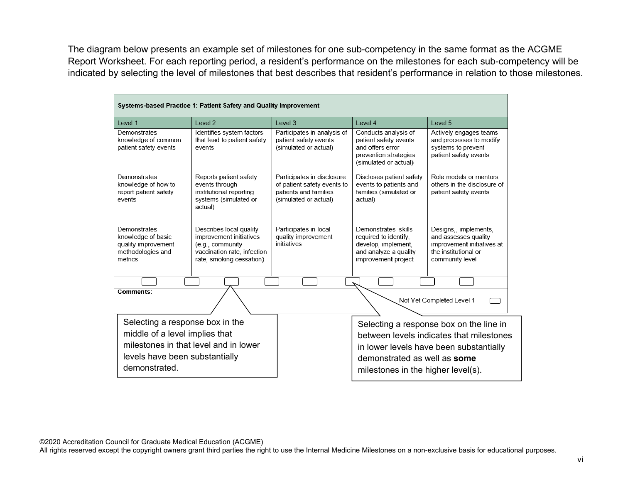The diagram below presents an example set of milestones for one sub-competency in the same format as the ACGME Report Worksheet. For each reporting period, a resident's performance on the milestones for each sub-competency will be indicated by selecting the level of milestones that best describes that resident's performance in relation to those milestones.

| Systems-based Practice 1: Patient Safety and Quality Improvement                          |                                                                                                                                   |                                                                                                             |                                                                                                                     |                                                                                                                        |  |
|-------------------------------------------------------------------------------------------|-----------------------------------------------------------------------------------------------------------------------------------|-------------------------------------------------------------------------------------------------------------|---------------------------------------------------------------------------------------------------------------------|------------------------------------------------------------------------------------------------------------------------|--|
| Level 1                                                                                   | Level 2                                                                                                                           | Level 3                                                                                                     | Level 4                                                                                                             | Level 5                                                                                                                |  |
| Demonstrates<br>knowledge of common<br>patient safety events                              | Identifies system factors<br>that lead to patient safety<br>events                                                                | Participates in analysis of<br>patient safety events<br>(simulated or actual)                               | Conducts analysis of<br>patient safety events<br>and offers error<br>prevention strategies<br>(simulated or actual) | Actively engages teams<br>and processes to modify<br>systems to prevent<br>patient safety events                       |  |
| Demonstrates<br>knowledge of how to<br>report patient safety<br>events                    | Reports patient safety<br>events through<br>institutional reporting<br>systems (simulated or<br>actual)                           | Participates in disclosure<br>of patient safety events to<br>patients and families<br>(simulated or actual) | Discloses patient safety<br>events to patients and<br>families (simulated or<br>actual)                             | Role models or mentors<br>others in the disclosure of<br>patient safety events                                         |  |
| Demonstrates<br>knowledge of basic<br>quality improvement<br>methodologies and<br>metrics | Describes local quality<br>improvement initiatives<br>(e.g., community<br>vaccination rate, infection<br>rate, smoking cessation) | Participates in local<br>quality improvement<br>initiatives                                                 | Demonstrates skills<br>required to identify,<br>develop, implement,<br>and analyze a quality<br>improvement project | Designs,, implements,<br>and assesses quality<br>improvement initiatives at<br>the institutional or<br>community level |  |
|                                                                                           |                                                                                                                                   |                                                                                                             |                                                                                                                     |                                                                                                                        |  |
| Comments:<br>Not Yet Completed Level 1                                                    |                                                                                                                                   |                                                                                                             |                                                                                                                     |                                                                                                                        |  |
| Selecting a response box in the                                                           |                                                                                                                                   |                                                                                                             |                                                                                                                     | Selecting a response box on the line in                                                                                |  |
| middle of a level implies that                                                            |                                                                                                                                   |                                                                                                             |                                                                                                                     | between levels indicates that milestones                                                                               |  |
| milestones in that level and in lower                                                     |                                                                                                                                   |                                                                                                             |                                                                                                                     | in lower levels have been substantially                                                                                |  |
| levels have been substantially<br>demonstrated.                                           |                                                                                                                                   |                                                                                                             | demonstrated as well as some                                                                                        |                                                                                                                        |  |
|                                                                                           |                                                                                                                                   |                                                                                                             | milestones in the higher level(s).                                                                                  |                                                                                                                        |  |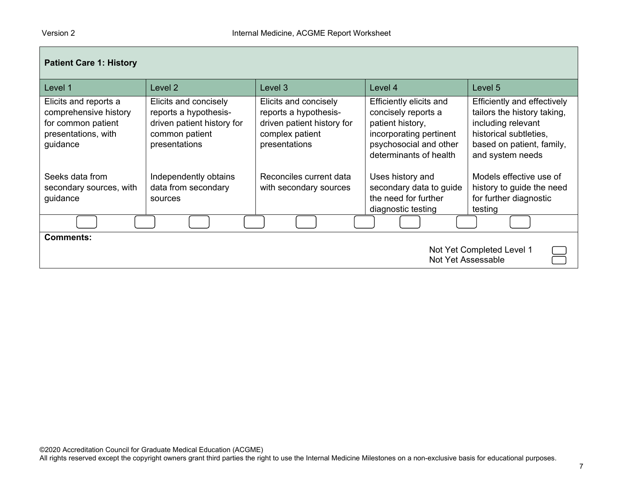| <b>Patient Care 1: History</b>                                                                          |                                                                                                                 |                                                                                                                  |                                                                                                                                                   |                                                                                                                                                             |
|---------------------------------------------------------------------------------------------------------|-----------------------------------------------------------------------------------------------------------------|------------------------------------------------------------------------------------------------------------------|---------------------------------------------------------------------------------------------------------------------------------------------------|-------------------------------------------------------------------------------------------------------------------------------------------------------------|
| Level 1                                                                                                 | Level <sub>2</sub>                                                                                              | Level 3                                                                                                          | Level 4                                                                                                                                           | Level 5                                                                                                                                                     |
| Elicits and reports a<br>comprehensive history<br>for common patient<br>presentations, with<br>guidance | Elicits and concisely<br>reports a hypothesis-<br>driven patient history for<br>common patient<br>presentations | Elicits and concisely<br>reports a hypothesis-<br>driven patient history for<br>complex patient<br>presentations | Efficiently elicits and<br>concisely reports a<br>patient history,<br>incorporating pertinent<br>psychosocial and other<br>determinants of health | Efficiently and effectively<br>tailors the history taking,<br>including relevant<br>historical subtleties,<br>based on patient, family,<br>and system needs |
| Seeks data from<br>secondary sources, with<br>guidance                                                  | Independently obtains<br>data from secondary<br>sources                                                         | Reconciles current data<br>with secondary sources                                                                | Uses history and<br>secondary data to guide<br>the need for further<br>diagnostic testing                                                         | Models effective use of<br>history to guide the need<br>for further diagnostic<br>testing                                                                   |
|                                                                                                         |                                                                                                                 |                                                                                                                  |                                                                                                                                                   |                                                                                                                                                             |
| <b>Comments:</b><br>Not Yet Completed Level 1<br>Not Yet Assessable                                     |                                                                                                                 |                                                                                                                  |                                                                                                                                                   |                                                                                                                                                             |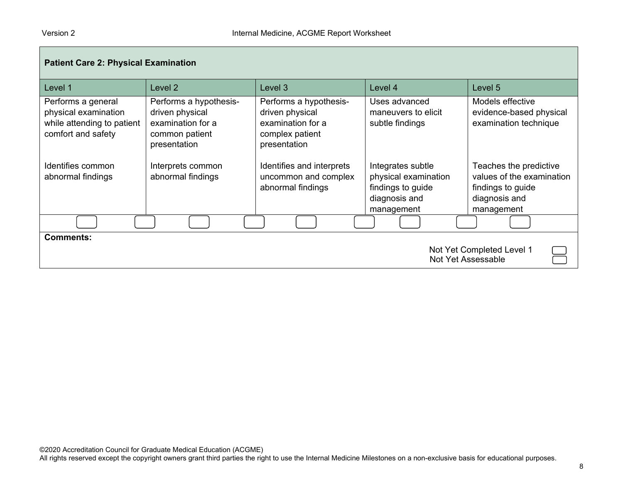| <b>Patient Care 2: Physical Examination</b>                                                    |                                                                                                  |                                                                                                   |                                                                                               |                                                                                                         |
|------------------------------------------------------------------------------------------------|--------------------------------------------------------------------------------------------------|---------------------------------------------------------------------------------------------------|-----------------------------------------------------------------------------------------------|---------------------------------------------------------------------------------------------------------|
| Level 1                                                                                        | Level 2                                                                                          | Level <sub>3</sub>                                                                                | Level 4                                                                                       | Level 5                                                                                                 |
| Performs a general<br>physical examination<br>while attending to patient<br>comfort and safety | Performs a hypothesis-<br>driven physical<br>examination for a<br>common patient<br>presentation | Performs a hypothesis-<br>driven physical<br>examination for a<br>complex patient<br>presentation | Uses advanced<br>maneuvers to elicit<br>subtle findings                                       | Models effective<br>evidence-based physical<br>examination technique                                    |
| Identifies common<br>abnormal findings                                                         | Interprets common<br>abnormal findings                                                           | Identifies and interprets<br>uncommon and complex<br>abnormal findings                            | Integrates subtle<br>physical examination<br>findings to guide<br>diagnosis and<br>management | Teaches the predictive<br>values of the examination<br>findings to guide<br>diagnosis and<br>management |
|                                                                                                |                                                                                                  |                                                                                                   |                                                                                               |                                                                                                         |
| <b>Comments:</b><br>Not Yet Completed Level 1<br>Not Yet Assessable                            |                                                                                                  |                                                                                                   |                                                                                               |                                                                                                         |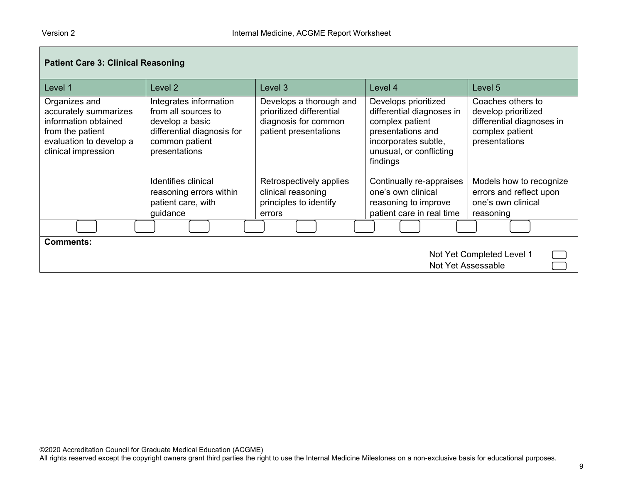| <b>Patient Care 3: Clinical Reasoning</b>                                                                                            |                                                                                                                                   |                                                                                                      |                                                                                                                                                          |                                                                                                           |
|--------------------------------------------------------------------------------------------------------------------------------------|-----------------------------------------------------------------------------------------------------------------------------------|------------------------------------------------------------------------------------------------------|----------------------------------------------------------------------------------------------------------------------------------------------------------|-----------------------------------------------------------------------------------------------------------|
| Level 1                                                                                                                              | Level 2                                                                                                                           | Level 3                                                                                              | Level 4                                                                                                                                                  | Level 5                                                                                                   |
| Organizes and<br>accurately summarizes<br>information obtained<br>from the patient<br>evaluation to develop a<br>clinical impression | Integrates information<br>from all sources to<br>develop a basic<br>differential diagnosis for<br>common patient<br>presentations | Develops a thorough and<br>prioritized differential<br>diagnosis for common<br>patient presentations | Develops prioritized<br>differential diagnoses in<br>complex patient<br>presentations and<br>incorporates subtle,<br>unusual, or conflicting<br>findings | Coaches others to<br>develop prioritized<br>differential diagnoses in<br>complex patient<br>presentations |
|                                                                                                                                      | <b>Identifies clinical</b><br>reasoning errors within<br>patient care, with<br>guidance                                           | Retrospectively applies<br>clinical reasoning<br>principles to identify<br>errors                    | Continually re-appraises<br>one's own clinical<br>reasoning to improve<br>patient care in real time                                                      | Models how to recognize<br>errors and reflect upon<br>one's own clinical<br>reasoning                     |
|                                                                                                                                      |                                                                                                                                   |                                                                                                      |                                                                                                                                                          |                                                                                                           |
| <b>Comments:</b><br>Not Yet Completed Level 1<br>Not Yet Assessable                                                                  |                                                                                                                                   |                                                                                                      |                                                                                                                                                          |                                                                                                           |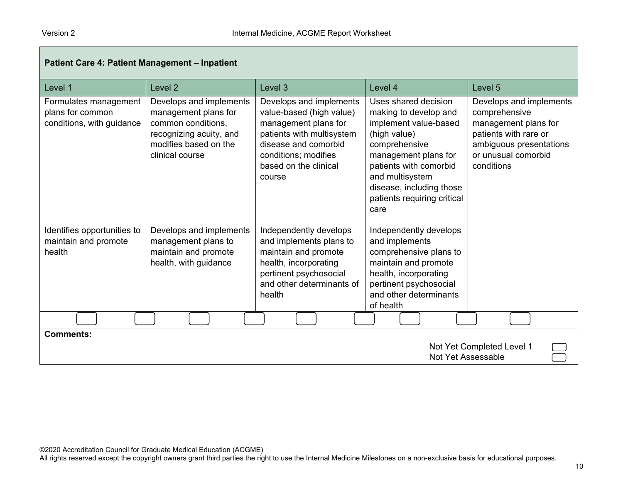| Patient Care 4: Patient Management - Inpatient                         |                                                                                                                                              |                                                                                                                                                                                             |                                                                                                                                                                                                                                                 |                                                                                                                                                           |
|------------------------------------------------------------------------|----------------------------------------------------------------------------------------------------------------------------------------------|---------------------------------------------------------------------------------------------------------------------------------------------------------------------------------------------|-------------------------------------------------------------------------------------------------------------------------------------------------------------------------------------------------------------------------------------------------|-----------------------------------------------------------------------------------------------------------------------------------------------------------|
| Level 1                                                                | Level <sub>2</sub>                                                                                                                           | Level 3                                                                                                                                                                                     | Level 4                                                                                                                                                                                                                                         | Level 5                                                                                                                                                   |
| Formulates management<br>plans for common<br>conditions, with guidance | Develops and implements<br>management plans for<br>common conditions,<br>recognizing acuity, and<br>modifies based on the<br>clinical course | Develops and implements<br>value-based (high value)<br>management plans for<br>patients with multisystem<br>disease and comorbid<br>conditions; modifies<br>based on the clinical<br>course | Uses shared decision<br>making to develop and<br>implement value-based<br>(high value)<br>comprehensive<br>management plans for<br>patients with comorbid<br>and multisystem<br>disease, including those<br>patients requiring critical<br>care | Develops and implements<br>comprehensive<br>management plans for<br>patients with rare or<br>ambiguous presentations<br>or unusual comorbid<br>conditions |
| Identifies opportunities to<br>maintain and promote<br>health          | Develops and implements<br>management plans to<br>maintain and promote<br>health, with guidance                                              | Independently develops<br>and implements plans to<br>maintain and promote<br>health, incorporating<br>pertinent psychosocial<br>and other determinants of<br>health                         | Independently develops<br>and implements<br>comprehensive plans to<br>maintain and promote<br>health, incorporating<br>pertinent psychosocial<br>and other determinants<br>of health                                                            |                                                                                                                                                           |
|                                                                        |                                                                                                                                              |                                                                                                                                                                                             |                                                                                                                                                                                                                                                 |                                                                                                                                                           |
| <b>Comments:</b><br>Not Yet Completed Level 1<br>Not Yet Assessable    |                                                                                                                                              |                                                                                                                                                                                             |                                                                                                                                                                                                                                                 |                                                                                                                                                           |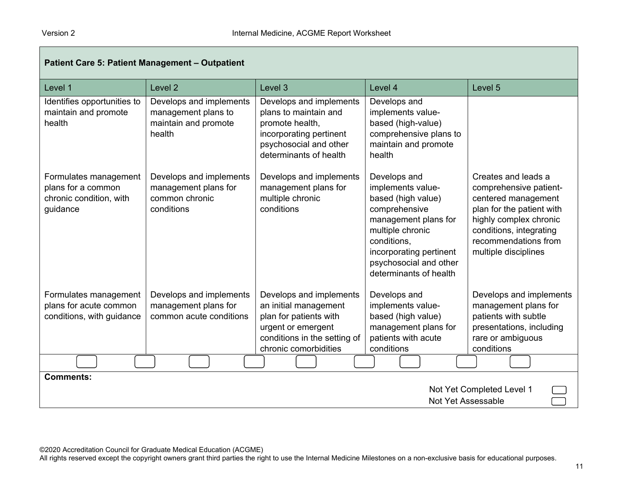| Patient Care 5: Patient Management - Outpatient                                    |                                                                                  |                                                                                                                                                           |                                                                                                                                                                                                                    |                                                                                                                                                                                                        |
|------------------------------------------------------------------------------------|----------------------------------------------------------------------------------|-----------------------------------------------------------------------------------------------------------------------------------------------------------|--------------------------------------------------------------------------------------------------------------------------------------------------------------------------------------------------------------------|--------------------------------------------------------------------------------------------------------------------------------------------------------------------------------------------------------|
| Level 1                                                                            | Level <sub>2</sub>                                                               | Level 3                                                                                                                                                   | Level 4                                                                                                                                                                                                            | Level 5                                                                                                                                                                                                |
| Identifies opportunities to<br>maintain and promote<br>health                      | Develops and implements<br>management plans to<br>maintain and promote<br>health | Develops and implements<br>plans to maintain and<br>promote health,<br>incorporating pertinent<br>psychosocial and other<br>determinants of health        | Develops and<br>implements value-<br>based (high-value)<br>comprehensive plans to<br>maintain and promote<br>health                                                                                                |                                                                                                                                                                                                        |
| Formulates management<br>plans for a common<br>chronic condition, with<br>guidance | Develops and implements<br>management plans for<br>common chronic<br>conditions  | Develops and implements<br>management plans for<br>multiple chronic<br>conditions                                                                         | Develops and<br>implements value-<br>based (high value)<br>comprehensive<br>management plans for<br>multiple chronic<br>conditions,<br>incorporating pertinent<br>psychosocial and other<br>determinants of health | Creates and leads a<br>comprehensive patient-<br>centered management<br>plan for the patient with<br>highly complex chronic<br>conditions, integrating<br>recommendations from<br>multiple disciplines |
| Formulates management<br>plans for acute common<br>conditions, with guidance       | Develops and implements<br>management plans for<br>common acute conditions       | Develops and implements<br>an initial management<br>plan for patients with<br>urgent or emergent<br>conditions in the setting of<br>chronic comorbidities | Develops and<br>implements value-<br>based (high value)<br>management plans for<br>patients with acute<br>conditions                                                                                               | Develops and implements<br>management plans for<br>patients with subtle<br>presentations, including<br>rare or ambiguous<br>conditions                                                                 |
|                                                                                    |                                                                                  |                                                                                                                                                           |                                                                                                                                                                                                                    |                                                                                                                                                                                                        |
| <b>Comments:</b><br>Not Yet Completed Level 1<br>Not Yet Assessable                |                                                                                  |                                                                                                                                                           |                                                                                                                                                                                                                    |                                                                                                                                                                                                        |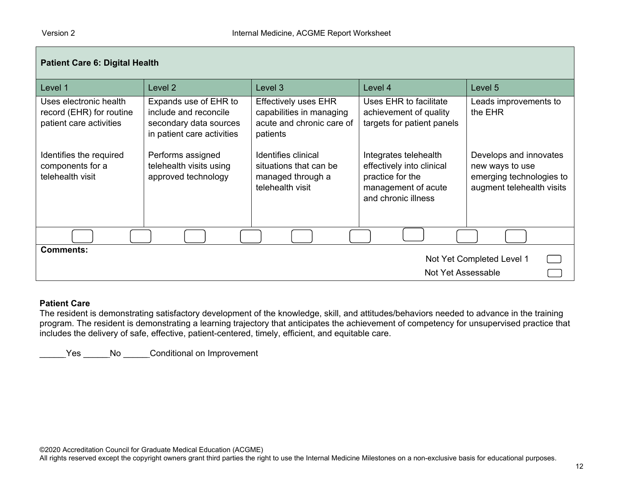| <b>Patient Care 6: Digital Health</b>                                         |                                                                                                        |                                                                                                  |                                                                                                                      |                                                                                                    |
|-------------------------------------------------------------------------------|--------------------------------------------------------------------------------------------------------|--------------------------------------------------------------------------------------------------|----------------------------------------------------------------------------------------------------------------------|----------------------------------------------------------------------------------------------------|
| Level 1                                                                       | Level 2                                                                                                | Level 3                                                                                          | Level 4                                                                                                              | Level 5                                                                                            |
| Uses electronic health<br>record (EHR) for routine<br>patient care activities | Expands use of EHR to<br>include and reconcile<br>secondary data sources<br>in patient care activities | <b>Effectively uses EHR</b><br>capabilities in managing<br>acute and chronic care of<br>patients | Uses EHR to facilitate<br>achievement of quality<br>targets for patient panels                                       | Leads improvements to<br>the EHR                                                                   |
| Identifies the required<br>components for a<br>telehealth visit               | Performs assigned<br>telehealth visits using<br>approved technology                                    | Identifies clinical<br>situations that can be<br>managed through a<br>telehealth visit           | Integrates telehealth<br>effectively into clinical<br>practice for the<br>management of acute<br>and chronic illness | Develops and innovates<br>new ways to use<br>emerging technologies to<br>augment telehealth visits |
|                                                                               |                                                                                                        |                                                                                                  |                                                                                                                      |                                                                                                    |
| <b>Comments:</b>                                                              |                                                                                                        |                                                                                                  |                                                                                                                      | Not Yet Completed Level 1                                                                          |
| Not Yet Assessable                                                            |                                                                                                        |                                                                                                  |                                                                                                                      |                                                                                                    |

#### **Patient Care**

The resident is demonstrating satisfactory development of the knowledge, skill, and attitudes/behaviors needed to advance in the training program. The resident is demonstrating a learning trajectory that anticipates the achievement of competency for unsupervised practice that includes the delivery of safe, effective, patient-centered, timely, efficient, and equitable care.

Yes \_\_\_\_\_No \_\_\_\_\_Conditional on Improvement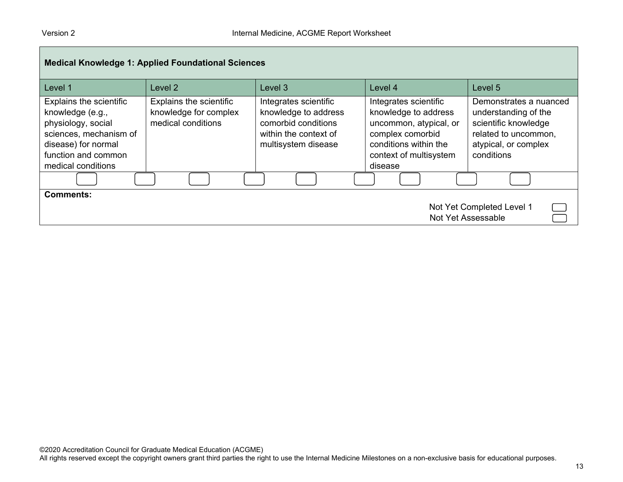| <b>Medical Knowledge 1: Applied Foundational Sciences</b>                                                                                                       |                                                                               |                                                                                                                      |                                                                                                                                                           |                                                                                                                                      |
|-----------------------------------------------------------------------------------------------------------------------------------------------------------------|-------------------------------------------------------------------------------|----------------------------------------------------------------------------------------------------------------------|-----------------------------------------------------------------------------------------------------------------------------------------------------------|--------------------------------------------------------------------------------------------------------------------------------------|
| Level 1                                                                                                                                                         | Level 2                                                                       | Level 3                                                                                                              | Level 4                                                                                                                                                   | Level 5                                                                                                                              |
| Explains the scientific<br>knowledge (e.g.,<br>physiology, social<br>sciences, mechanism of<br>disease) for normal<br>function and common<br>medical conditions | <b>Explains the scientific</b><br>knowledge for complex<br>medical conditions | Integrates scientific<br>knowledge to address<br>comorbid conditions<br>within the context of<br>multisystem disease | Integrates scientific<br>knowledge to address<br>uncommon, atypical, or<br>complex comorbid<br>conditions within the<br>context of multisystem<br>disease | Demonstrates a nuanced<br>understanding of the<br>scientific knowledge<br>related to uncommon,<br>atypical, or complex<br>conditions |
|                                                                                                                                                                 |                                                                               |                                                                                                                      |                                                                                                                                                           |                                                                                                                                      |
| Comments:                                                                                                                                                       |                                                                               |                                                                                                                      |                                                                                                                                                           | Not Yet Completed Level 1<br>Not Yet Assessable                                                                                      |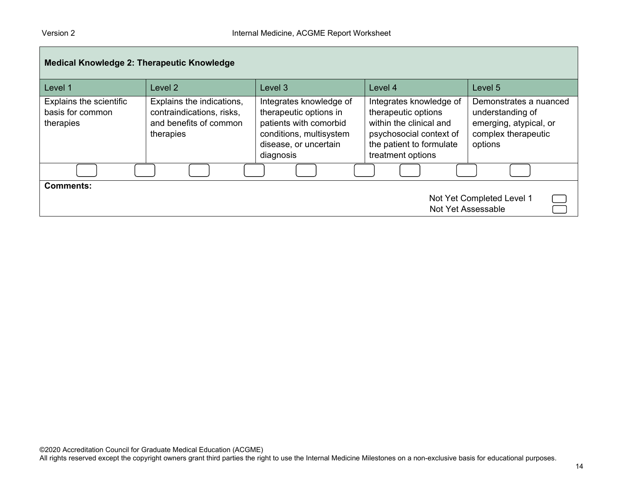| <b>Medical Knowledge 2: Therapeutic Knowledge</b>            |                                                                                               |                                                                                                                                              |                                                                                                                                                       |                                                                                                        |
|--------------------------------------------------------------|-----------------------------------------------------------------------------------------------|----------------------------------------------------------------------------------------------------------------------------------------------|-------------------------------------------------------------------------------------------------------------------------------------------------------|--------------------------------------------------------------------------------------------------------|
| Level 1                                                      | Level 2                                                                                       | Level 3                                                                                                                                      | Level 4                                                                                                                                               | Level 5                                                                                                |
| Explains the scientific<br>basis for common<br>therapies     | Explains the indications,<br>contraindications, risks,<br>and benefits of common<br>therapies | Integrates knowledge of<br>therapeutic options in<br>patients with comorbid<br>conditions, multisystem<br>disease, or uncertain<br>diagnosis | Integrates knowledge of<br>therapeutic options<br>within the clinical and<br>psychosocial context of<br>the patient to formulate<br>treatment options | Demonstrates a nuanced<br>understanding of<br>emerging, atypical, or<br>complex therapeutic<br>options |
|                                                              |                                                                                               |                                                                                                                                              |                                                                                                                                                       |                                                                                                        |
| Comments:<br>Not Yet Completed Level 1<br>Not Yet Assessable |                                                                                               |                                                                                                                                              |                                                                                                                                                       |                                                                                                        |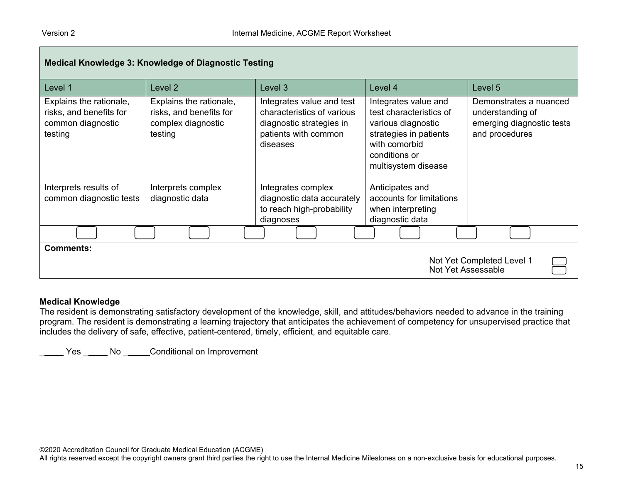| <b>Medical Knowledge 3: Knowledge of Diagnostic Testing</b>                        |                                                                                     |                                                                                                                         |                                                                                                                                                          |                                                                                           |
|------------------------------------------------------------------------------------|-------------------------------------------------------------------------------------|-------------------------------------------------------------------------------------------------------------------------|----------------------------------------------------------------------------------------------------------------------------------------------------------|-------------------------------------------------------------------------------------------|
| Level 1                                                                            | Level 2                                                                             | Level 3                                                                                                                 | Level 4                                                                                                                                                  | Level 5                                                                                   |
| Explains the rationale,<br>risks, and benefits for<br>common diagnostic<br>testing | Explains the rationale,<br>risks, and benefits for<br>complex diagnostic<br>testing | Integrates value and test<br>characteristics of various<br>diagnostic strategies in<br>patients with common<br>diseases | Integrates value and<br>test characteristics of<br>various diagnostic<br>strategies in patients<br>with comorbid<br>conditions or<br>multisystem disease | Demonstrates a nuanced<br>understanding of<br>emerging diagnostic tests<br>and procedures |
| Interprets results of<br>common diagnostic tests                                   | Interprets complex<br>diagnostic data                                               | Integrates complex<br>diagnostic data accurately<br>to reach high-probability<br>diagnoses                              | Anticipates and<br>accounts for limitations<br>when interpreting<br>diagnostic data                                                                      |                                                                                           |
|                                                                                    |                                                                                     |                                                                                                                         |                                                                                                                                                          |                                                                                           |
| <b>Comments:</b><br>Not Yet Completed Level 1<br>Not Yet Assessable                |                                                                                     |                                                                                                                         |                                                                                                                                                          |                                                                                           |

#### **Medical Knowledge**

The resident is demonstrating satisfactory development of the knowledge, skill, and attitudes/behaviors needed to advance in the training program. The resident is demonstrating a learning trajectory that anticipates the achievement of competency for unsupervised practice that includes the delivery of safe, effective, patient-centered, timely, efficient, and equitable care.

\_\_\_\_\_ Yes \_\_\_\_\_ No \_\_\_\_\_ Conditional on Improvement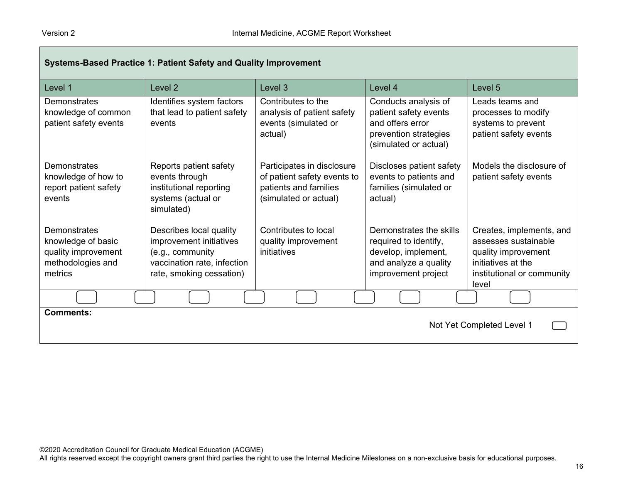| Systems-Based Practice 1: Patient Safety and Quality Improvement                          |                                                                                                                                   |                                                                                                             |                                                                                                                         |                                                                                                                                      |  |
|-------------------------------------------------------------------------------------------|-----------------------------------------------------------------------------------------------------------------------------------|-------------------------------------------------------------------------------------------------------------|-------------------------------------------------------------------------------------------------------------------------|--------------------------------------------------------------------------------------------------------------------------------------|--|
| Level 1                                                                                   | Level <sub>2</sub>                                                                                                                | Level 3                                                                                                     | Level 4                                                                                                                 | Level 5                                                                                                                              |  |
| Demonstrates<br>knowledge of common<br>patient safety events                              | Identifies system factors<br>that lead to patient safety<br>events                                                                | Contributes to the<br>analysis of patient safety<br>events (simulated or<br>actual)                         | Conducts analysis of<br>patient safety events<br>and offers error<br>prevention strategies<br>(simulated or actual)     | Leads teams and<br>processes to modify<br>systems to prevent<br>patient safety events                                                |  |
| Demonstrates<br>knowledge of how to<br>report patient safety<br>events                    | Reports patient safety<br>events through<br>institutional reporting<br>systems (actual or<br>simulated)                           | Participates in disclosure<br>of patient safety events to<br>patients and families<br>(simulated or actual) | Discloses patient safety<br>events to patients and<br>families (simulated or<br>actual)                                 | Models the disclosure of<br>patient safety events                                                                                    |  |
| Demonstrates<br>knowledge of basic<br>quality improvement<br>methodologies and<br>metrics | Describes local quality<br>improvement initiatives<br>(e.g., community<br>vaccination rate, infection<br>rate, smoking cessation) | Contributes to local<br>quality improvement<br>initiatives                                                  | Demonstrates the skills<br>required to identify,<br>develop, implement,<br>and analyze a quality<br>improvement project | Creates, implements, and<br>assesses sustainable<br>quality improvement<br>initiatives at the<br>institutional or community<br>level |  |
|                                                                                           |                                                                                                                                   |                                                                                                             |                                                                                                                         |                                                                                                                                      |  |
| <b>Comments:</b><br>Not Yet Completed Level 1                                             |                                                                                                                                   |                                                                                                             |                                                                                                                         |                                                                                                                                      |  |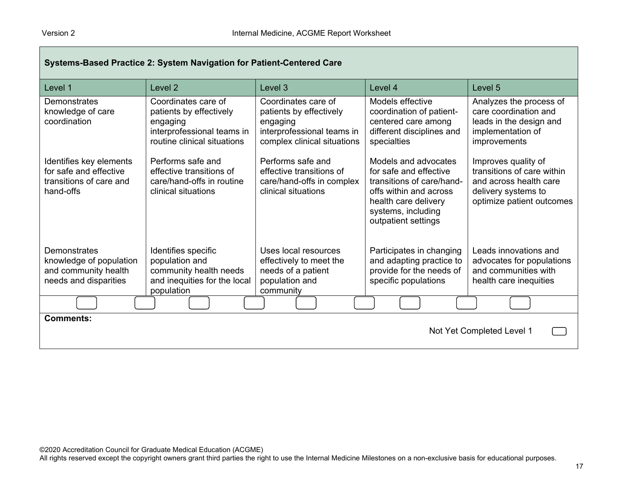| Systems-Based Practice 2: System Navigation for Patient-Centered Care                     |                                                                                                                         |                                                                                                                         |                                                                                                                                                                            |                                                                                                                                 |
|-------------------------------------------------------------------------------------------|-------------------------------------------------------------------------------------------------------------------------|-------------------------------------------------------------------------------------------------------------------------|----------------------------------------------------------------------------------------------------------------------------------------------------------------------------|---------------------------------------------------------------------------------------------------------------------------------|
| Level 1                                                                                   | Level <sub>2</sub>                                                                                                      | Level 3                                                                                                                 | Level 4                                                                                                                                                                    | Level 5                                                                                                                         |
| Demonstrates<br>knowledge of care<br>coordination                                         | Coordinates care of<br>patients by effectively<br>engaging<br>interprofessional teams in<br>routine clinical situations | Coordinates care of<br>patients by effectively<br>engaging<br>interprofessional teams in<br>complex clinical situations | Models effective<br>coordination of patient-<br>centered care among<br>different disciplines and<br>specialties                                                            | Analyzes the process of<br>care coordination and<br>leads in the design and<br>implementation of<br>improvements                |
| Identifies key elements<br>for safe and effective<br>transitions of care and<br>hand-offs | Performs safe and<br>effective transitions of<br>care/hand-offs in routine<br>clinical situations                       | Performs safe and<br>effective transitions of<br>care/hand-offs in complex<br>clinical situations                       | Models and advocates<br>for safe and effective<br>transitions of care/hand-<br>offs within and across<br>health care delivery<br>systems, including<br>outpatient settings | Improves quality of<br>transitions of care within<br>and across health care<br>delivery systems to<br>optimize patient outcomes |
| Demonstrates<br>knowledge of population<br>and community health<br>needs and disparities  | Identifies specific<br>population and<br>community health needs<br>and inequities for the local<br>population           | Uses local resources<br>effectively to meet the<br>needs of a patient<br>population and<br>community                    | Participates in changing<br>and adapting practice to<br>provide for the needs of<br>specific populations                                                                   | Leads innovations and<br>advocates for populations<br>and communities with<br>health care inequities                            |
|                                                                                           |                                                                                                                         |                                                                                                                         |                                                                                                                                                                            |                                                                                                                                 |
| <b>Comments:</b><br>Not Yet Completed Level 1                                             |                                                                                                                         |                                                                                                                         |                                                                                                                                                                            |                                                                                                                                 |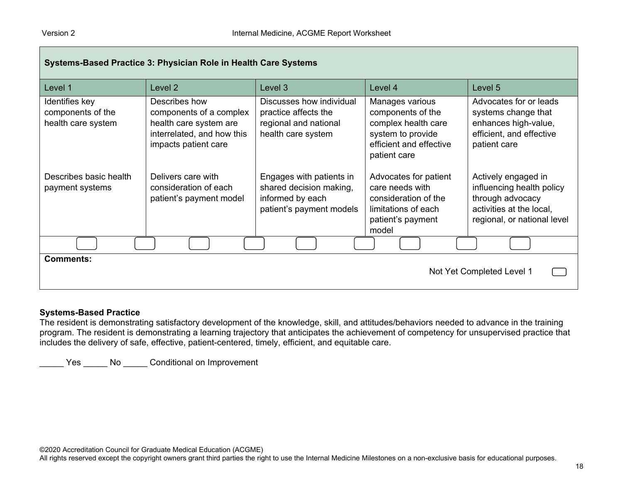| Systems-Based Practice 3: Physician Role in Health Care Systems |                                                                                                                          |                                                                                                     |                                                                                                                             |                                                                                                                                 |  |
|-----------------------------------------------------------------|--------------------------------------------------------------------------------------------------------------------------|-----------------------------------------------------------------------------------------------------|-----------------------------------------------------------------------------------------------------------------------------|---------------------------------------------------------------------------------------------------------------------------------|--|
| Level 1                                                         | Level 2                                                                                                                  | Level 3                                                                                             | Level 4                                                                                                                     | Level 5                                                                                                                         |  |
| Identifies key<br>components of the<br>health care system       | Describes how<br>components of a complex<br>health care system are<br>interrelated, and how this<br>impacts patient care | Discusses how individual<br>practice affects the<br>regional and national<br>health care system     | Manages various<br>components of the<br>complex health care<br>system to provide<br>efficient and effective<br>patient care | Advocates for or leads<br>systems change that<br>enhances high-value,<br>efficient, and effective<br>patient care               |  |
| Describes basic health<br>payment systems                       | Delivers care with<br>consideration of each<br>patient's payment model                                                   | Engages with patients in<br>shared decision making,<br>informed by each<br>patient's payment models | Advocates for patient<br>care needs with<br>consideration of the<br>limitations of each<br>patient's payment<br>model       | Actively engaged in<br>influencing health policy<br>through advocacy<br>activities at the local,<br>regional, or national level |  |
|                                                                 |                                                                                                                          |                                                                                                     |                                                                                                                             |                                                                                                                                 |  |
| <b>Comments:</b><br>Not Yet Completed Level 1                   |                                                                                                                          |                                                                                                     |                                                                                                                             |                                                                                                                                 |  |

#### **Systems-Based Practice**

The resident is demonstrating satisfactory development of the knowledge, skill, and attitudes/behaviors needed to advance in the training program. The resident is demonstrating a learning trajectory that anticipates the achievement of competency for unsupervised practice that includes the delivery of safe, effective, patient-centered, timely, efficient, and equitable care.

\_\_\_\_\_ Yes \_\_\_\_\_ No \_\_\_\_\_ Conditional on Improvement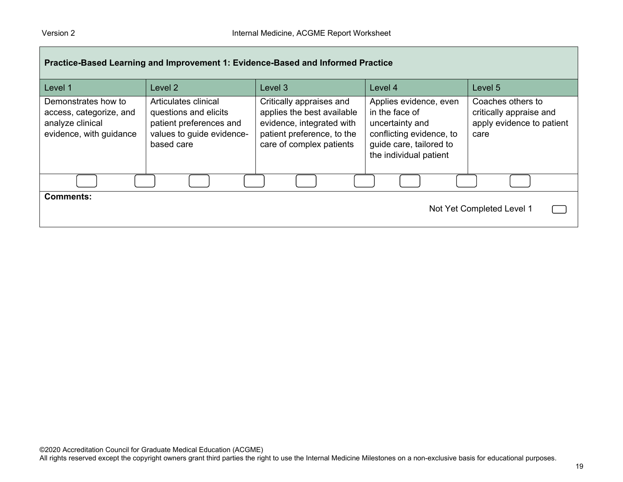| Practice-Based Learning and Improvement 1: Evidence-Based and Informed Practice               |                                                                                                                     |                                                                                                                                               |                                                                                                                                              |                                                                                   |  |  |
|-----------------------------------------------------------------------------------------------|---------------------------------------------------------------------------------------------------------------------|-----------------------------------------------------------------------------------------------------------------------------------------------|----------------------------------------------------------------------------------------------------------------------------------------------|-----------------------------------------------------------------------------------|--|--|
| Level 1                                                                                       | Level 2                                                                                                             | Level 3                                                                                                                                       | Level 4                                                                                                                                      | Level 5                                                                           |  |  |
| Demonstrates how to<br>access, categorize, and<br>analyze clinical<br>evidence, with guidance | Articulates clinical<br>questions and elicits<br>patient preferences and<br>values to guide evidence-<br>based care | Critically appraises and<br>applies the best available<br>evidence, integrated with<br>patient preference, to the<br>care of complex patients | Applies evidence, even<br>in the face of<br>uncertainty and<br>conflicting evidence, to<br>guide care, tailored to<br>the individual patient | Coaches others to<br>critically appraise and<br>apply evidence to patient<br>care |  |  |
|                                                                                               |                                                                                                                     |                                                                                                                                               |                                                                                                                                              |                                                                                   |  |  |
| <b>Comments:</b>                                                                              | Not Yet Completed Level 1                                                                                           |                                                                                                                                               |                                                                                                                                              |                                                                                   |  |  |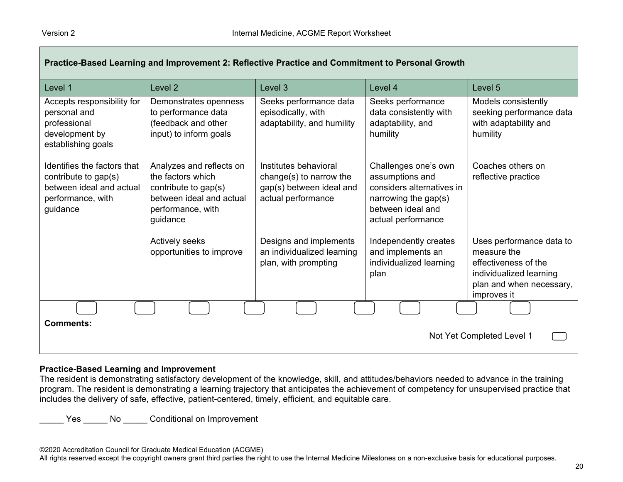| Practice-Based Learning and Improvement 2: Reflective Practice and Commitment to Personal Growth                 |                                                                                                                                    |                                                                                                    |                                                                                                                                         |                                                                                                                                       |  |  |
|------------------------------------------------------------------------------------------------------------------|------------------------------------------------------------------------------------------------------------------------------------|----------------------------------------------------------------------------------------------------|-----------------------------------------------------------------------------------------------------------------------------------------|---------------------------------------------------------------------------------------------------------------------------------------|--|--|
| Level 1                                                                                                          | Level <sub>2</sub>                                                                                                                 | Level 3                                                                                            | Level 4                                                                                                                                 | Level 5                                                                                                                               |  |  |
| Accepts responsibility for<br>personal and<br>professional<br>development by<br>establishing goals               | Demonstrates openness<br>to performance data<br>(feedback and other<br>input) to inform goals                                      | Seeks performance data<br>episodically, with<br>adaptability, and humility                         | Seeks performance<br>data consistently with<br>adaptability, and<br>humility                                                            | Models consistently<br>seeking performance data<br>with adaptability and<br>humility                                                  |  |  |
| Identifies the factors that<br>contribute to gap(s)<br>between ideal and actual<br>performance, with<br>guidance | Analyzes and reflects on<br>the factors which<br>contribute to gap(s)<br>between ideal and actual<br>performance, with<br>guidance | Institutes behavioral<br>change(s) to narrow the<br>gap(s) between ideal and<br>actual performance | Challenges one's own<br>assumptions and<br>considers alternatives in<br>narrowing the gap(s)<br>between ideal and<br>actual performance | Coaches others on<br>reflective practice                                                                                              |  |  |
|                                                                                                                  | Actively seeks<br>opportunities to improve                                                                                         | Designs and implements<br>an individualized learning<br>plan, with prompting                       | Independently creates<br>and implements an<br>individualized learning<br>plan                                                           | Uses performance data to<br>measure the<br>effectiveness of the<br>individualized learning<br>plan and when necessary,<br>improves it |  |  |
|                                                                                                                  |                                                                                                                                    |                                                                                                    |                                                                                                                                         |                                                                                                                                       |  |  |
| <b>Comments:</b>                                                                                                 |                                                                                                                                    |                                                                                                    |                                                                                                                                         | Not Yet Completed Level 1                                                                                                             |  |  |

#### **Practice-Based Learning and Improvement**

The resident is demonstrating satisfactory development of the knowledge, skill, and attitudes/behaviors needed to advance in the training program. The resident is demonstrating a learning trajectory that anticipates the achievement of competency for unsupervised practice that includes the delivery of safe, effective, patient-centered, timely, efficient, and equitable care.

Yes No Conditional on Improvement

©2020 Accreditation Council for Graduate Medical Education (ACGME)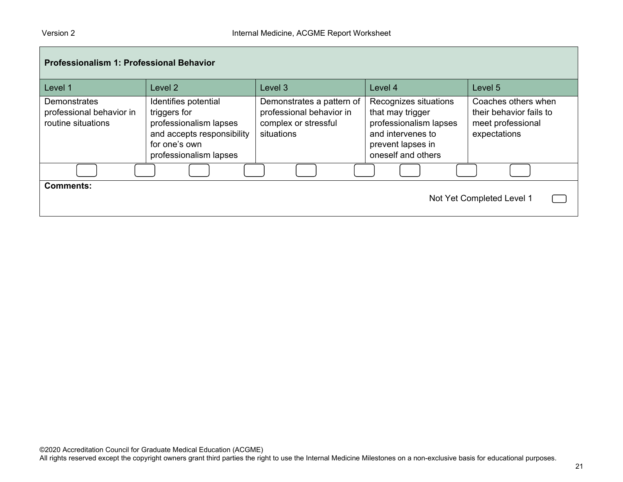| <b>Professionalism 1: Professional Behavior</b>                |                                                                                                                                         |                                                                                             |                                                                                                                                     |                                                                                     |  |  |
|----------------------------------------------------------------|-----------------------------------------------------------------------------------------------------------------------------------------|---------------------------------------------------------------------------------------------|-------------------------------------------------------------------------------------------------------------------------------------|-------------------------------------------------------------------------------------|--|--|
| Level 1                                                        | Level <sub>2</sub>                                                                                                                      | Level <sub>3</sub>                                                                          | Level 4                                                                                                                             | Level 5                                                                             |  |  |
| Demonstrates<br>professional behavior in<br>routine situations | Identifies potential<br>triggers for<br>professionalism lapses<br>and accepts responsibility<br>for one's own<br>professionalism lapses | Demonstrates a pattern of<br>professional behavior in<br>complex or stressful<br>situations | Recognizes situations<br>that may trigger<br>professionalism lapses<br>and intervenes to<br>prevent lapses in<br>oneself and others | Coaches others when<br>their behavior fails to<br>meet professional<br>expectations |  |  |
|                                                                |                                                                                                                                         |                                                                                             |                                                                                                                                     |                                                                                     |  |  |
| <b>Comments:</b>                                               |                                                                                                                                         |                                                                                             |                                                                                                                                     | Not Yet Completed Level 1                                                           |  |  |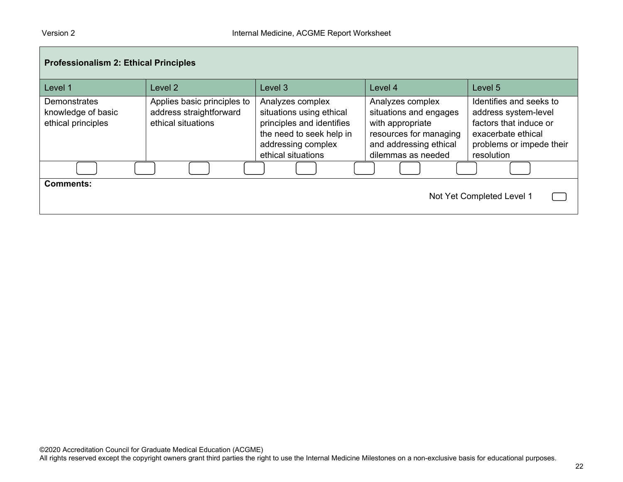| <b>Professionalism 2: Ethical Principles</b>                    |                                                                              |                                                                                                                                                   |                                                                                                                                          |                                                                                                                                           |  |  |
|-----------------------------------------------------------------|------------------------------------------------------------------------------|---------------------------------------------------------------------------------------------------------------------------------------------------|------------------------------------------------------------------------------------------------------------------------------------------|-------------------------------------------------------------------------------------------------------------------------------------------|--|--|
| Level 1                                                         | Level <sub>2</sub>                                                           | Level 3                                                                                                                                           | Level 4                                                                                                                                  | Level 5                                                                                                                                   |  |  |
| <b>Demonstrates</b><br>knowledge of basic<br>ethical principles | Applies basic principles to<br>address straightforward<br>ethical situations | Analyzes complex<br>situations using ethical<br>principles and identifies<br>the need to seek help in<br>addressing complex<br>ethical situations | Analyzes complex<br>situations and engages<br>with appropriate<br>resources for managing<br>and addressing ethical<br>dilemmas as needed | Identifies and seeks to<br>address system-level<br>factors that induce or<br>exacerbate ethical<br>problems or impede their<br>resolution |  |  |
|                                                                 |                                                                              |                                                                                                                                                   |                                                                                                                                          |                                                                                                                                           |  |  |
| <b>Comments:</b>                                                |                                                                              |                                                                                                                                                   |                                                                                                                                          | Not Yet Completed Level 1                                                                                                                 |  |  |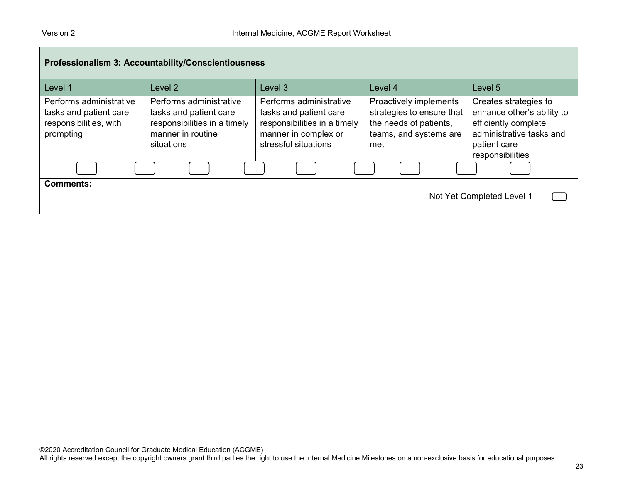| Professionalism 3: Accountability/Conscientiousness                                      |                                                                                                                      |                                                                                                                                   |                                                                                                                |                                                                                                                                             |  |  |
|------------------------------------------------------------------------------------------|----------------------------------------------------------------------------------------------------------------------|-----------------------------------------------------------------------------------------------------------------------------------|----------------------------------------------------------------------------------------------------------------|---------------------------------------------------------------------------------------------------------------------------------------------|--|--|
| Level 1                                                                                  | Level <sub>2</sub>                                                                                                   | Level <sub>3</sub>                                                                                                                | Level 4                                                                                                        | Level 5                                                                                                                                     |  |  |
| Performs administrative<br>tasks and patient care<br>responsibilities, with<br>prompting | Performs administrative<br>tasks and patient care<br>responsibilities in a timely<br>manner in routine<br>situations | Performs administrative<br>tasks and patient care<br>responsibilities in a timely<br>manner in complex or<br>stressful situations | Proactively implements<br>strategies to ensure that<br>the needs of patients,<br>teams, and systems are<br>met | Creates strategies to<br>enhance other's ability to<br>efficiently complete<br>administrative tasks and<br>patient care<br>responsibilities |  |  |
|                                                                                          |                                                                                                                      |                                                                                                                                   |                                                                                                                |                                                                                                                                             |  |  |
| <b>Comments:</b><br>Not Yet Completed Level 1                                            |                                                                                                                      |                                                                                                                                   |                                                                                                                |                                                                                                                                             |  |  |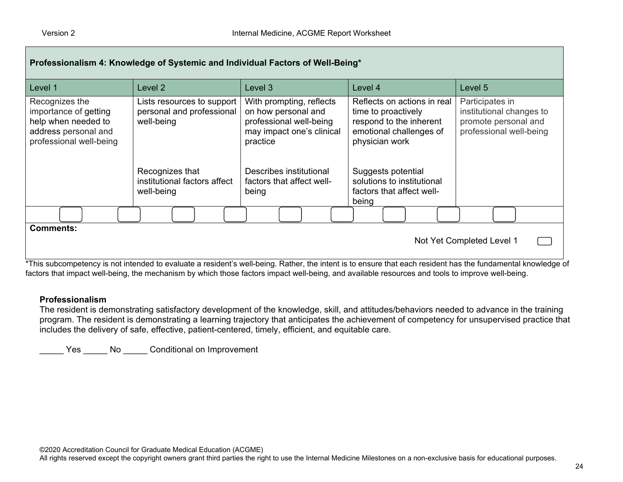| Level 1                                                                                                           | Level 2                                                                                                                                | Level 3                                                                                                                                                                              | Level 4                                                                                                                                                                                                     | Level 5                                                                                        |
|-------------------------------------------------------------------------------------------------------------------|----------------------------------------------------------------------------------------------------------------------------------------|--------------------------------------------------------------------------------------------------------------------------------------------------------------------------------------|-------------------------------------------------------------------------------------------------------------------------------------------------------------------------------------------------------------|------------------------------------------------------------------------------------------------|
| Recognizes the<br>importance of getting<br>help when needed to<br>address personal and<br>professional well-being | Lists resources to support<br>personal and professional<br>well-being<br>Recognizes that<br>institutional factors affect<br>well-being | With prompting, reflects<br>on how personal and<br>professional well-being<br>may impact one's clinical<br>practice<br>Describes institutional<br>factors that affect well-<br>being | Reflects on actions in real<br>time to proactively<br>respond to the inherent<br>emotional challenges of<br>physician work<br>Suggests potential<br>solutions to institutional<br>factors that affect well- | Participates in<br>institutional changes to<br>promote personal and<br>professional well-being |
|                                                                                                                   |                                                                                                                                        |                                                                                                                                                                                      | being                                                                                                                                                                                                       |                                                                                                |

\*This subcompetency is not intended to evaluate a resident's well-being. Rather, the intent is to ensure that each resident has the fundamental knowledge of factors that impact well-being, the mechanism by which those factors impact well-being, and available resources and tools to improve well-being.

#### **Professionalism**

The resident is demonstrating satisfactory development of the knowledge, skill, and attitudes/behaviors needed to advance in the training program. The resident is demonstrating a learning trajectory that anticipates the achievement of competency for unsupervised practice that includes the delivery of safe, effective, patient-centered, timely, efficient, and equitable care.

Yes \_\_\_\_\_ No \_\_\_\_\_ Conditional on Improvement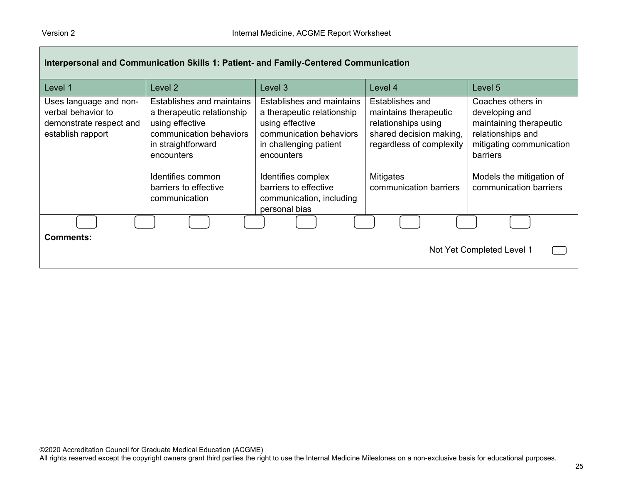| Interpersonal and Communication Skills 1: Patient- and Family-Centered Communication         |                                                                                                                                                                |                                                                                                                                                                     |                                                                                                                                            |                                                                                                                                                         |  |  |
|----------------------------------------------------------------------------------------------|----------------------------------------------------------------------------------------------------------------------------------------------------------------|---------------------------------------------------------------------------------------------------------------------------------------------------------------------|--------------------------------------------------------------------------------------------------------------------------------------------|---------------------------------------------------------------------------------------------------------------------------------------------------------|--|--|
| Level 1                                                                                      | Level 2                                                                                                                                                        | Level 3                                                                                                                                                             | Level 4                                                                                                                                    | Level 5                                                                                                                                                 |  |  |
| Uses language and non-<br>verbal behavior to<br>demonstrate respect and<br>establish rapport | Establishes and maintains<br>a therapeutic relationship<br>using effective<br>communication behaviors<br>in straightforward<br>encounters<br>Identifies common | Establishes and maintains<br>a therapeutic relationship<br>using effective<br>communication behaviors<br>in challenging patient<br>encounters<br>Identifies complex | Establishes and<br>maintains therapeutic<br>relationships using<br>shared decision making,<br>regardless of complexity<br><b>Mitigates</b> | Coaches others in<br>developing and<br>maintaining therapeutic<br>relationships and<br>mitigating communication<br>barriers<br>Models the mitigation of |  |  |
|                                                                                              | barriers to effective<br>communication                                                                                                                         | barriers to effective<br>communication, including<br>personal bias                                                                                                  | communication barriers                                                                                                                     | communication barriers                                                                                                                                  |  |  |
|                                                                                              |                                                                                                                                                                |                                                                                                                                                                     |                                                                                                                                            |                                                                                                                                                         |  |  |
| <b>Comments:</b>                                                                             |                                                                                                                                                                |                                                                                                                                                                     |                                                                                                                                            | Not Yet Completed Level 1                                                                                                                               |  |  |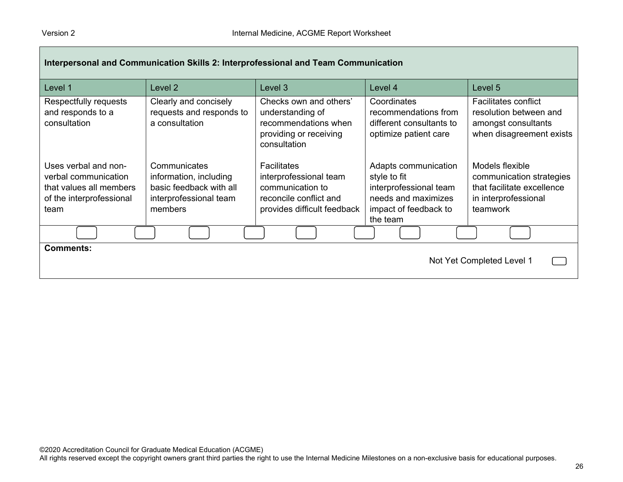| Interpersonal and Communication Skills 2: Interprofessional and Team Communication                          |                                                                                                        |                                                                                                                           |                                                                                                                            |                                                                                                               |  |  |
|-------------------------------------------------------------------------------------------------------------|--------------------------------------------------------------------------------------------------------|---------------------------------------------------------------------------------------------------------------------------|----------------------------------------------------------------------------------------------------------------------------|---------------------------------------------------------------------------------------------------------------|--|--|
| Level 1                                                                                                     | Level 2                                                                                                | Level 3                                                                                                                   | Level 4                                                                                                                    | Level 5                                                                                                       |  |  |
| Respectfully requests<br>and responds to a<br>consultation                                                  | Clearly and concisely<br>requests and responds to<br>a consultation                                    | Checks own and others'<br>understanding of<br>recommendations when<br>providing or receiving<br>consultation              | Coordinates<br>recommendations from<br>different consultants to<br>optimize patient care                                   | <b>Facilitates conflict</b><br>resolution between and<br>amongst consultants<br>when disagreement exists      |  |  |
| Uses verbal and non-<br>verbal communication<br>that values all members<br>of the interprofessional<br>team | Communicates<br>information, including<br>basic feedback with all<br>interprofessional team<br>members | <b>Facilitates</b><br>interprofessional team<br>communication to<br>reconcile conflict and<br>provides difficult feedback | Adapts communication<br>style to fit<br>interprofessional team<br>needs and maximizes<br>impact of feedback to<br>the team | Models flexible<br>communication strategies<br>that facilitate excellence<br>in interprofessional<br>teamwork |  |  |
|                                                                                                             |                                                                                                        |                                                                                                                           |                                                                                                                            |                                                                                                               |  |  |
| <b>Comments:</b>                                                                                            |                                                                                                        |                                                                                                                           |                                                                                                                            | Not Yet Completed Level 1                                                                                     |  |  |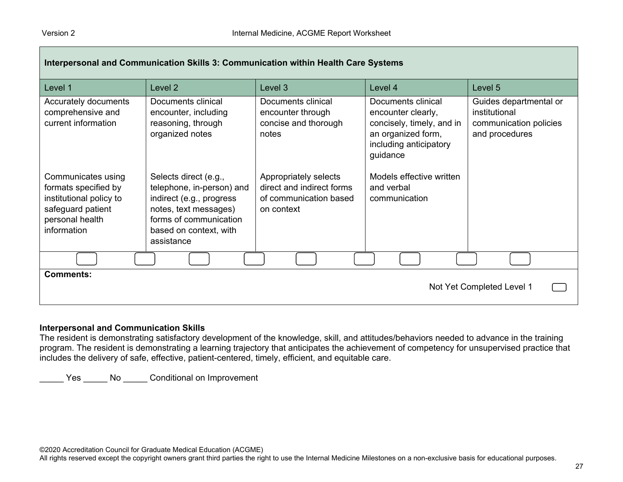| Interpersonal and Communication Skills 3: Communication within Health Care Systems                                           |                                                                                                                                                                           |                                                                                            |                                                                                                                                   |                                                                                     |  |
|------------------------------------------------------------------------------------------------------------------------------|---------------------------------------------------------------------------------------------------------------------------------------------------------------------------|--------------------------------------------------------------------------------------------|-----------------------------------------------------------------------------------------------------------------------------------|-------------------------------------------------------------------------------------|--|
| Level 1                                                                                                                      | Level <sub>2</sub>                                                                                                                                                        | Level <sub>3</sub>                                                                         | Level 4                                                                                                                           | Level 5                                                                             |  |
| Accurately documents<br>comprehensive and<br>current information                                                             | Documents clinical<br>encounter, including<br>reasoning, through<br>organized notes                                                                                       | Documents clinical<br>encounter through<br>concise and thorough<br>notes                   | Documents clinical<br>encounter clearly,<br>concisely, timely, and in<br>an organized form,<br>including anticipatory<br>guidance | Guides departmental or<br>institutional<br>communication policies<br>and procedures |  |
| Communicates using<br>formats specified by<br>institutional policy to<br>safeguard patient<br>personal health<br>information | Selects direct (e.g.,<br>telephone, in-person) and<br>indirect (e.g., progress<br>notes, text messages)<br>forms of communication<br>based on context, with<br>assistance | Appropriately selects<br>direct and indirect forms<br>of communication based<br>on context | Models effective written<br>and verbal<br>communication                                                                           |                                                                                     |  |
|                                                                                                                              |                                                                                                                                                                           |                                                                                            |                                                                                                                                   |                                                                                     |  |
| Comments:<br>Not Yet Completed Level 1                                                                                       |                                                                                                                                                                           |                                                                                            |                                                                                                                                   |                                                                                     |  |

#### **Interpersonal and Communication Skills**

The resident is demonstrating satisfactory development of the knowledge, skill, and attitudes/behaviors needed to advance in the training program. The resident is demonstrating a learning trajectory that anticipates the achievement of competency for unsupervised practice that includes the delivery of safe, effective, patient-centered, timely, efficient, and equitable care.

\_\_\_\_\_ Yes \_\_\_\_\_ No \_\_\_\_\_ Conditional on Improvement